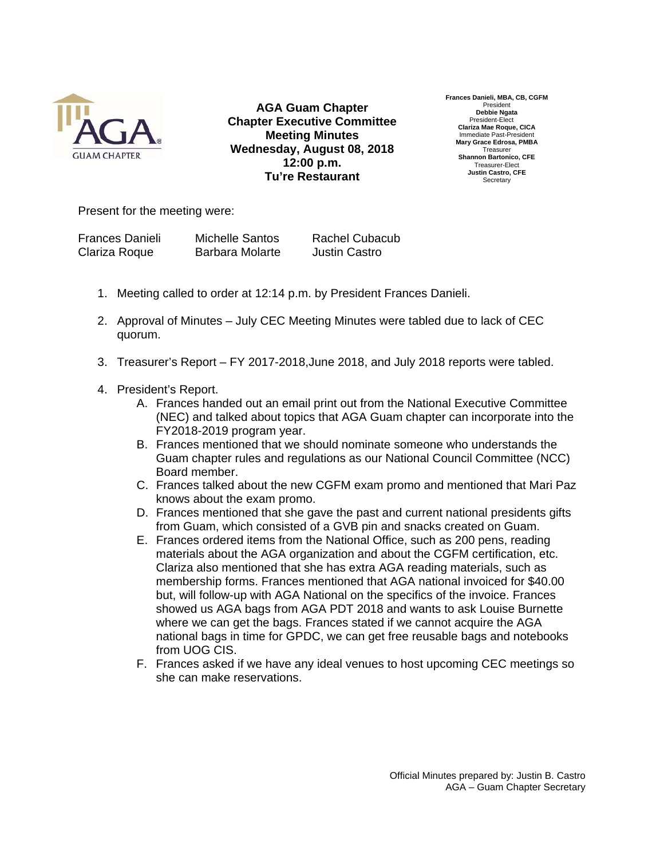

**AGA Guam Chapter Chapter Executive Committee Meeting Minutes Wednesday, August 08, 2018 12:00 p.m. Tu're Restaurant**

**Frances Danieli, MBA, CB, CGFM**  President **Debbie Ngata**  President-Elect **Clariza Mae Roque, CICA**  Immediate Past-President **Mary Grace Edrosa, PMBA**  Treasurer **Shannon Bartonico, CFE**  Treasurer-Elect **Justin Castro, CFE Secretary** 

Present for the meeting were:

| <b>Frances Danieli</b> | <b>Michelle Santos</b> | <b>Rachel Cubacub</b> |
|------------------------|------------------------|-----------------------|
| Clariza Roque          | Barbara Molarte        | Justin Castro         |

- 1. Meeting called to order at 12:14 p.m. by President Frances Danieli.
- 2. Approval of Minutes July CEC Meeting Minutes were tabled due to lack of CEC quorum.
- 3. Treasurer's Report FY 2017-2018,June 2018, and July 2018 reports were tabled.
- 4. President's Report.
	- A. Frances handed out an email print out from the National Executive Committee (NEC) and talked about topics that AGA Guam chapter can incorporate into the FY2018-2019 program year.
	- B. Frances mentioned that we should nominate someone who understands the Guam chapter rules and regulations as our National Council Committee (NCC) Board member.
	- C. Frances talked about the new CGFM exam promo and mentioned that Mari Paz knows about the exam promo.
	- D. Frances mentioned that she gave the past and current national presidents gifts from Guam, which consisted of a GVB pin and snacks created on Guam.
	- E. Frances ordered items from the National Office, such as 200 pens, reading materials about the AGA organization and about the CGFM certification, etc. Clariza also mentioned that she has extra AGA reading materials, such as membership forms. Frances mentioned that AGA national invoiced for \$40.00 but, will follow-up with AGA National on the specifics of the invoice. Frances showed us AGA bags from AGA PDT 2018 and wants to ask Louise Burnette where we can get the bags. Frances stated if we cannot acquire the AGA national bags in time for GPDC, we can get free reusable bags and notebooks from UOG CIS.
	- F. Frances asked if we have any ideal venues to host upcoming CEC meetings so she can make reservations.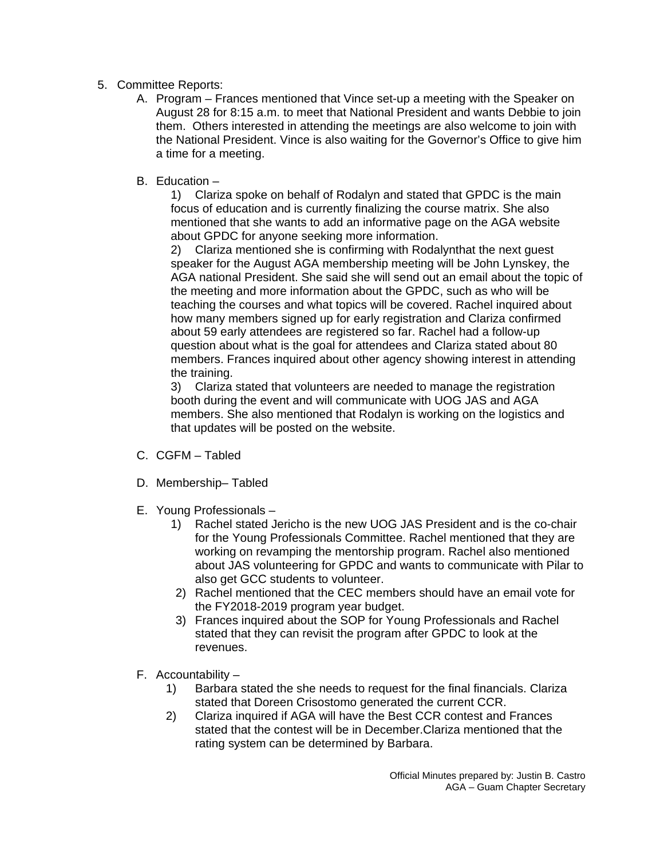- 5. Committee Reports:
	- A. Program Frances mentioned that Vince set-up a meeting with the Speaker on August 28 for 8:15 a.m. to meet that National President and wants Debbie to join them. Others interested in attending the meetings are also welcome to join with the National President. Vince is also waiting for the Governor's Office to give him a time for a meeting.
	- B. Education –

1) Clariza spoke on behalf of Rodalyn and stated that GPDC is the main focus of education and is currently finalizing the course matrix. She also mentioned that she wants to add an informative page on the AGA website about GPDC for anyone seeking more information.

2) Clariza mentioned she is confirming with Rodalynthat the next guest speaker for the August AGA membership meeting will be John Lynskey, the AGA national President. She said she will send out an email about the topic of the meeting and more information about the GPDC, such as who will be teaching the courses and what topics will be covered. Rachel inquired about how many members signed up for early registration and Clariza confirmed about 59 early attendees are registered so far. Rachel had a follow-up question about what is the goal for attendees and Clariza stated about 80 members. Frances inquired about other agency showing interest in attending the training.

3) Clariza stated that volunteers are needed to manage the registration booth during the event and will communicate with UOG JAS and AGA members. She also mentioned that Rodalyn is working on the logistics and that updates will be posted on the website.

- C. CGFM Tabled
- D. Membership– Tabled
- E. Young Professionals
	- 1) Rachel stated Jericho is the new UOG JAS President and is the co-chair for the Young Professionals Committee. Rachel mentioned that they are working on revamping the mentorship program. Rachel also mentioned about JAS volunteering for GPDC and wants to communicate with Pilar to also get GCC students to volunteer.
	- 2) Rachel mentioned that the CEC members should have an email vote for the FY2018-2019 program year budget.
	- 3) Frances inquired about the SOP for Young Professionals and Rachel stated that they can revisit the program after GPDC to look at the revenues.
- F. Accountability
	- 1) Barbara stated the she needs to request for the final financials. Clariza stated that Doreen Crisostomo generated the current CCR.
	- 2) Clariza inquired if AGA will have the Best CCR contest and Frances stated that the contest will be in December.Clariza mentioned that the rating system can be determined by Barbara.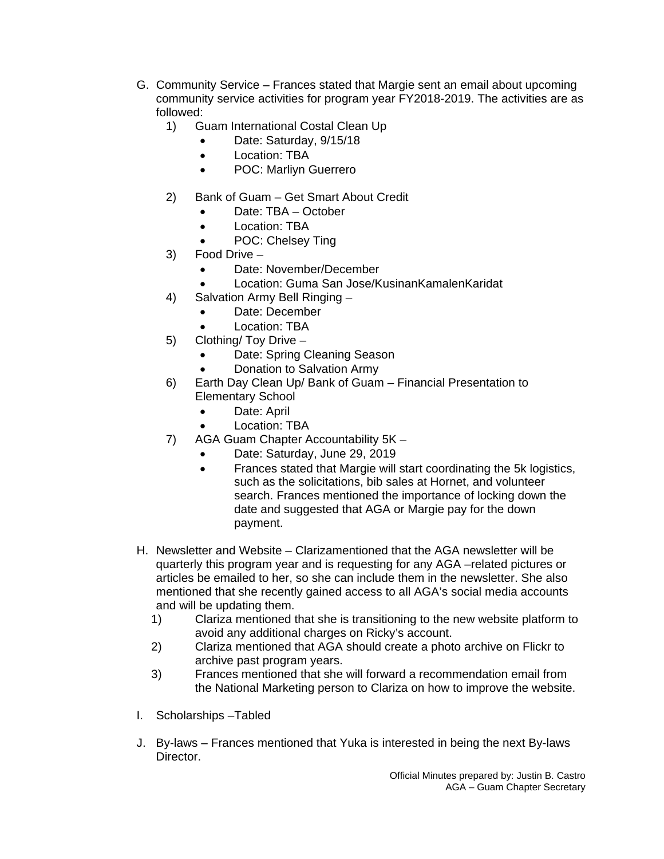- G. Community Service Frances stated that Margie sent an email about upcoming community service activities for program year FY2018-2019. The activities are as followed:
	- 1) Guam International Costal Clean Up
		- Date: Saturday, 9/15/18
		- Location: TBA
		- POC: Marlivn Guerrero
	- 2) Bank of Guam Get Smart About Credit
		- Date: TBA October
		- Location: TBA
		- POC: Chelsey Ting
	- 3) Food Drive
		- Date: November/December
		- Location: Guma San Jose/KusinanKamalenKaridat
	- 4) Salvation Army Bell Ringing
		- Date: December
		- Location: TBA
	- 5) Clothing/ Toy Drive
		- Date: Spring Cleaning Season
		- Donation to Salvation Army
	- 6) Earth Day Clean Up/ Bank of Guam Financial Presentation to Elementary School
		- Date: April
		- Location: TBA
	- 7) AGA Guam Chapter Accountability 5K
		- Date: Saturday, June 29, 2019
		- Frances stated that Margie will start coordinating the 5k logistics, such as the solicitations, bib sales at Hornet, and volunteer search. Frances mentioned the importance of locking down the date and suggested that AGA or Margie pay for the down payment.
- H. Newsletter and Website Clarizamentioned that the AGA newsletter will be quarterly this program year and is requesting for any AGA –related pictures or articles be emailed to her, so she can include them in the newsletter. She also mentioned that she recently gained access to all AGA's social media accounts and will be updating them.
	- 1) Clariza mentioned that she is transitioning to the new website platform to avoid any additional charges on Ricky's account.
	- 2) Clariza mentioned that AGA should create a photo archive on Flickr to archive past program years.
	- 3) Frances mentioned that she will forward a recommendation email from the National Marketing person to Clariza on how to improve the website.
- I. Scholarships –Tabled
- J. By-laws Frances mentioned that Yuka is interested in being the next By-laws Director.